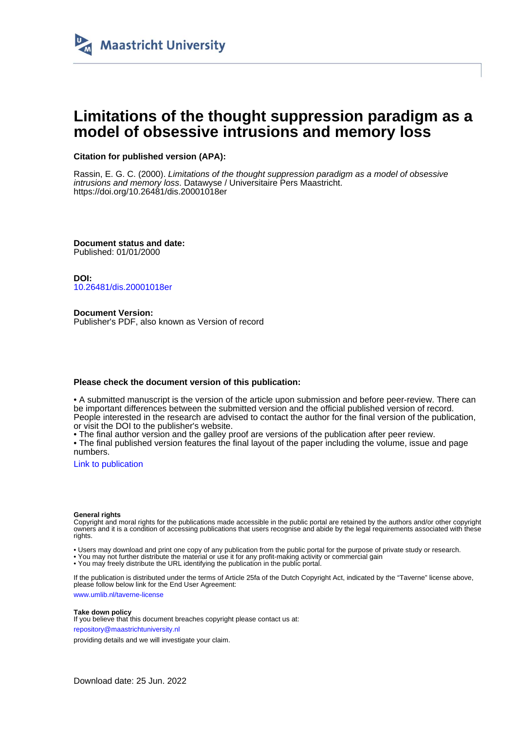

# **Limitations of the thought suppression paradigm as a model of obsessive intrusions and memory loss**

### **Citation for published version (APA):**

Rassin, E. G. C. (2000). Limitations of the thought suppression paradigm as a model of obsessive intrusions and memory loss. Datawyse / Universitaire Pers Maastricht. <https://doi.org/10.26481/dis.20001018er>

**Document status and date:** Published: 01/01/2000

**DOI:** [10.26481/dis.20001018er](https://doi.org/10.26481/dis.20001018er)

**Document Version:** Publisher's PDF, also known as Version of record

#### **Please check the document version of this publication:**

• A submitted manuscript is the version of the article upon submission and before peer-review. There can be important differences between the submitted version and the official published version of record. People interested in the research are advised to contact the author for the final version of the publication, or visit the DOI to the publisher's website.

• The final author version and the galley proof are versions of the publication after peer review.

• The final published version features the final layout of the paper including the volume, issue and page numbers.

[Link to publication](https://cris.maastrichtuniversity.nl/en/publications/afa813b9-dbd7-4d49-a192-af50d23bb186)

#### **General rights**

Copyright and moral rights for the publications made accessible in the public portal are retained by the authors and/or other copyright owners and it is a condition of accessing publications that users recognise and abide by the legal requirements associated with these rights.

• Users may download and print one copy of any publication from the public portal for the purpose of private study or research.

• You may not further distribute the material or use it for any profit-making activity or commercial gain

• You may freely distribute the URL identifying the publication in the public portal.

If the publication is distributed under the terms of Article 25fa of the Dutch Copyright Act, indicated by the "Taverne" license above, please follow below link for the End User Agreement:

www.umlib.nl/taverne-license

#### **Take down policy**

If you believe that this document breaches copyright please contact us at: repository@maastrichtuniversity.nl

providing details and we will investigate your claim.